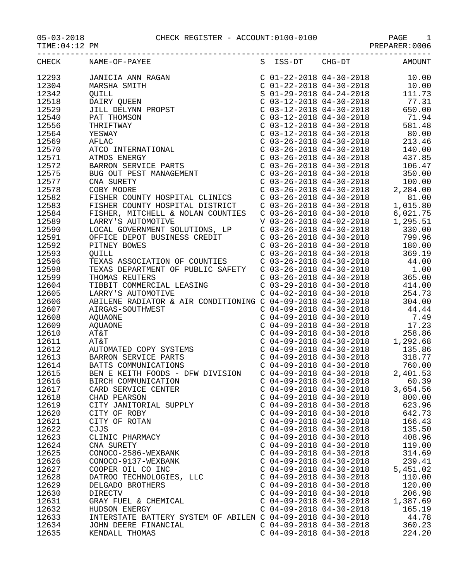05-03-2018 CHECK REGISTER - ACCOUNT:0100-0100 PAGE 1

 $TIME:04:12 PM$ 

| CHECK | NAME-OF-PAYEE                                                                                                                                                                                                                                                                                                                                                         |                           | S ISS-DT CHG-DT AMOUNT |          |
|-------|-----------------------------------------------------------------------------------------------------------------------------------------------------------------------------------------------------------------------------------------------------------------------------------------------------------------------------------------------------------------------|---------------------------|------------------------|----------|
| 12293 | $\begin{tabular}{l c c c c c c c} \multicolumn{4}{c c c} \multicolumn{4}{c c} $\mathsf{AMICIA}\ \text{ANN} \ \text{RAGAN} \\\\ \text{MAKH} \ \text{SMITH} & $\mathsf{C} \ \ 01-22-2018 \ \ 04-30-2018 \ \ 04-30-2018 \ \ 111.73 \\\\ \text{DAIRY} \ \text{QUELN} & $\mathsf{C} \ \ 03-12-2018 \ \ 04-30-2018 \ \ 111.73 \\\\ \text{JILL} \ \text{ENT} \\\\ \text{BAT$ |                           |                        |          |
| 12304 |                                                                                                                                                                                                                                                                                                                                                                       |                           |                        |          |
| 12342 |                                                                                                                                                                                                                                                                                                                                                                       |                           |                        |          |
| 12518 |                                                                                                                                                                                                                                                                                                                                                                       |                           |                        |          |
| 12529 |                                                                                                                                                                                                                                                                                                                                                                       |                           |                        |          |
| 12540 |                                                                                                                                                                                                                                                                                                                                                                       |                           |                        |          |
| 12556 |                                                                                                                                                                                                                                                                                                                                                                       |                           |                        |          |
| 12564 |                                                                                                                                                                                                                                                                                                                                                                       |                           |                        |          |
| 12569 |                                                                                                                                                                                                                                                                                                                                                                       |                           |                        |          |
| 12570 |                                                                                                                                                                                                                                                                                                                                                                       |                           |                        |          |
| 12571 |                                                                                                                                                                                                                                                                                                                                                                       |                           |                        |          |
| 12572 |                                                                                                                                                                                                                                                                                                                                                                       |                           |                        |          |
| 12575 |                                                                                                                                                                                                                                                                                                                                                                       |                           |                        |          |
| 12577 |                                                                                                                                                                                                                                                                                                                                                                       |                           |                        |          |
| 12578 |                                                                                                                                                                                                                                                                                                                                                                       |                           |                        |          |
|       |                                                                                                                                                                                                                                                                                                                                                                       |                           |                        |          |
| 12582 |                                                                                                                                                                                                                                                                                                                                                                       |                           |                        |          |
| 12583 |                                                                                                                                                                                                                                                                                                                                                                       |                           |                        |          |
| 12584 |                                                                                                                                                                                                                                                                                                                                                                       |                           |                        |          |
| 12589 |                                                                                                                                                                                                                                                                                                                                                                       |                           |                        |          |
| 12590 |                                                                                                                                                                                                                                                                                                                                                                       |                           |                        |          |
| 12591 |                                                                                                                                                                                                                                                                                                                                                                       |                           |                        |          |
| 12592 |                                                                                                                                                                                                                                                                                                                                                                       |                           |                        |          |
| 12593 |                                                                                                                                                                                                                                                                                                                                                                       |                           |                        |          |
| 12596 |                                                                                                                                                                                                                                                                                                                                                                       |                           |                        |          |
| 12598 |                                                                                                                                                                                                                                                                                                                                                                       |                           |                        |          |
| 12599 |                                                                                                                                                                                                                                                                                                                                                                       |                           |                        |          |
| 12604 |                                                                                                                                                                                                                                                                                                                                                                       |                           |                        |          |
| 12605 | 1.1.2.1.23<br>LARRY'S AUTOMOTIVE<br>LARRY'S AUTOMOTIVE<br>ABILENE RADIATOR & AIR CONDITIONING C 04-09-2018 04-30-2018<br>AIRGAS-SOUTHWEST<br>C 04-09-2018 04-30-2018<br>C 04-09-2018 04-30-2018<br>C 04-09-2018 04-30-2018<br>C 04-09-2018 04-                                                                                                                        |                           |                        |          |
| 12606 | ABILENE RADIATOR & ALK CONDITIONS .<br>AIRGAS-SOUTHWEST<br>AQUAONE<br>COMPONE<br>COMPONE<br>COMPONE<br>COMPONE<br>COMPONE<br>COMPONE<br>COMPONE<br>COMPONE<br>COMPONE<br>COMPONE<br>COMPONE<br>COMPONE<br>COMPONE<br>COMPONE<br>COMPONE<br>COMPONE<br>COMPONE<br>COMPO                                                                                                |                           |                        |          |
| 12607 |                                                                                                                                                                                                                                                                                                                                                                       |                           |                        |          |
| 12608 |                                                                                                                                                                                                                                                                                                                                                                       |                           |                        |          |
| 12609 |                                                                                                                                                                                                                                                                                                                                                                       |                           |                        |          |
| 12610 |                                                                                                                                                                                                                                                                                                                                                                       |                           |                        |          |
| 12611 |                                                                                                                                                                                                                                                                                                                                                                       |                           |                        |          |
| 12612 |                                                                                                                                                                                                                                                                                                                                                                       |                           |                        |          |
| 12613 |                                                                                                                                                                                                                                                                                                                                                                       |                           |                        |          |
| 12614 | BATTS COMMUNICATIONS                                                                                                                                                                                                                                                                                                                                                  |                           |                        |          |
| 12615 | BEN E KEITH FOODS - DFW DIVISION C 04-09-2018 04-30-2018 2,401.53                                                                                                                                                                                                                                                                                                     |                           |                        |          |
| 12616 | BIRCH COMMUNICATION                                                                                                                                                                                                                                                                                                                                                   | $C$ 04-09-2018 04-30-2018 |                        | 60.39    |
| 12617 | CARD SERVICE CENTER                                                                                                                                                                                                                                                                                                                                                   | $C$ 04-09-2018 04-30-2018 |                        | 3,654.56 |
| 12618 | CHAD PEARSON                                                                                                                                                                                                                                                                                                                                                          | $C$ 04-09-2018 04-30-2018 |                        | 800.00   |
| 12619 | CITY JANITORIAL SUPPLY                                                                                                                                                                                                                                                                                                                                                | $C$ 04-09-2018 04-30-2018 |                        | 623.96   |
| 12620 | CITY OF ROBY                                                                                                                                                                                                                                                                                                                                                          | $C$ 04-09-2018 04-30-2018 |                        | 642.73   |
| 12621 | CITY OF ROTAN                                                                                                                                                                                                                                                                                                                                                         | $C$ 04-09-2018 04-30-2018 |                        | 166.43   |
| 12622 | CJJS                                                                                                                                                                                                                                                                                                                                                                  | $C$ 04-09-2018 04-30-2018 |                        | 135.50   |
| 12623 | CLINIC PHARMACY                                                                                                                                                                                                                                                                                                                                                       | $C$ 04-09-2018 04-30-2018 |                        | 408.96   |
| 12624 | CNA SURETY                                                                                                                                                                                                                                                                                                                                                            | $C$ 04-09-2018 04-30-2018 |                        | 119.00   |
| 12625 | CONOCO-2586-WEXBANK                                                                                                                                                                                                                                                                                                                                                   | $C$ 04-09-2018 04-30-2018 |                        | 314.69   |
| 12626 | CONOCO-9137-WEXBANK                                                                                                                                                                                                                                                                                                                                                   | $C$ 04-09-2018 04-30-2018 |                        | 239.41   |
| 12627 | COOPER OIL CO INC                                                                                                                                                                                                                                                                                                                                                     | $C$ 04-09-2018 04-30-2018 |                        | 5,451.02 |
| 12628 | DATROO TECHNOLOGIES, LLC                                                                                                                                                                                                                                                                                                                                              | $C$ 04-09-2018 04-30-2018 |                        | 110.00   |
| 12629 | DELGADO BROTHERS                                                                                                                                                                                                                                                                                                                                                      | $C$ 04-09-2018 04-30-2018 |                        | 120.00   |
| 12630 | DIRECTV                                                                                                                                                                                                                                                                                                                                                               | $C$ 04-09-2018 04-30-2018 |                        | 206.98   |
| 12631 | GRAY FUEL & CHEMICAL                                                                                                                                                                                                                                                                                                                                                  | $C$ 04-09-2018 04-30-2018 |                        | 1,387.69 |
| 12632 | HUDSON ENERGY                                                                                                                                                                                                                                                                                                                                                         | $C$ 04-09-2018 04-30-2018 |                        | 165.19   |
| 12633 | INTERSTATE BATTERY SYSTEM OF ABILEN C 04-09-2018 04-30-2018                                                                                                                                                                                                                                                                                                           |                           |                        | 44.78    |
| 12634 | JOHN DEERE FINANCIAL                                                                                                                                                                                                                                                                                                                                                  | $C$ 04-09-2018 04-30-2018 |                        | 360.23   |
| 12635 | KENDALL THOMAS                                                                                                                                                                                                                                                                                                                                                        | $C$ 04-09-2018 04-30-2018 |                        | 224.20   |
|       |                                                                                                                                                                                                                                                                                                                                                                       |                           |                        |          |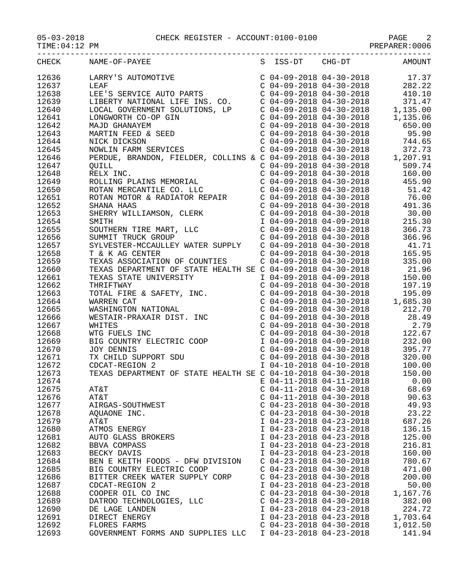## 05-03-2018 CHECK REGISTER - ACCOUNT:0100-0100 PAGE 2

PREPARER:0006

|       | CHECK NAME-OF-PAYEE S ISS-DT CHG-DT AMOUNT                                                                                                                                                                                                                                                                                                                                                     |                           |          |
|-------|------------------------------------------------------------------------------------------------------------------------------------------------------------------------------------------------------------------------------------------------------------------------------------------------------------------------------------------------------------------------------------------------|---------------------------|----------|
| 12636 | $\begin{tabular}{l c c c c c c c c} \multicolumn{4}{l c c c} \multicolumn{4}{l c c} \multicolumn{4}{l c c} \multicolumn{4}{l c c} \multicolumn{4}{l c c} \multicolumn{4}{l c c} \multicolumn{4}{l c c} \multicolumn{4}{l c c} \multicolumn{4}{l c c} \multicolumn{4}{l c c} \multicolumn{4}{l c c} \multicolumn{4}{l c c} \multicolumn{4}{l c c} \multicolumn{4}{l c c} \multicolumn{4}{l c c$ |                           |          |
| 12637 |                                                                                                                                                                                                                                                                                                                                                                                                |                           |          |
| 12638 |                                                                                                                                                                                                                                                                                                                                                                                                |                           |          |
| 12639 |                                                                                                                                                                                                                                                                                                                                                                                                |                           |          |
| 12640 |                                                                                                                                                                                                                                                                                                                                                                                                |                           |          |
| 12641 |                                                                                                                                                                                                                                                                                                                                                                                                |                           |          |
| 12642 |                                                                                                                                                                                                                                                                                                                                                                                                |                           |          |
| 12643 |                                                                                                                                                                                                                                                                                                                                                                                                |                           |          |
| 12644 |                                                                                                                                                                                                                                                                                                                                                                                                |                           |          |
| 12645 |                                                                                                                                                                                                                                                                                                                                                                                                |                           |          |
| 12646 |                                                                                                                                                                                                                                                                                                                                                                                                |                           |          |
| 12647 |                                                                                                                                                                                                                                                                                                                                                                                                |                           |          |
| 12648 |                                                                                                                                                                                                                                                                                                                                                                                                |                           |          |
| 12649 |                                                                                                                                                                                                                                                                                                                                                                                                |                           |          |
| 12650 |                                                                                                                                                                                                                                                                                                                                                                                                |                           |          |
| 12651 |                                                                                                                                                                                                                                                                                                                                                                                                |                           |          |
| 12652 |                                                                                                                                                                                                                                                                                                                                                                                                |                           |          |
| 12653 |                                                                                                                                                                                                                                                                                                                                                                                                |                           |          |
| 12654 |                                                                                                                                                                                                                                                                                                                                                                                                |                           |          |
| 12655 |                                                                                                                                                                                                                                                                                                                                                                                                |                           |          |
| 12656 | PERDUE, BRANDON, FIELDER, COLLINS & C 04-09-2018 04-30-2018<br>C 04-09-2018 04-30-2018<br>RELIX INC.<br>ROLLING PLAINS MEMORIAL<br>ROLLING PLAINS MEMORIAL<br>C 04-09-2018 04-30-2018<br>ROTAN MERCANTILE CO. LLC<br>C 04-09-2018 04-30-2018                                                                                                                                                   |                           |          |
| 12657 |                                                                                                                                                                                                                                                                                                                                                                                                |                           |          |
| 12658 |                                                                                                                                                                                                                                                                                                                                                                                                |                           |          |
|       |                                                                                                                                                                                                                                                                                                                                                                                                |                           |          |
| 12659 | SYLVESTER-MCCAULLEY WATER SUPPLY<br>T & K AG CENTER<br>T & K AG CENTER<br>TEXAS ASSOCIATION OF COUNTIES<br>TEXAS DEPARTMENT OF STATE HEALTH SE C 04-09-2018 04-30-2018<br>TEXAS DEPARTMENT OF STATE HEALTH SE C 04-09-2018 04-30-2018                                                                                                                                                          |                           |          |
| 12660 |                                                                                                                                                                                                                                                                                                                                                                                                |                           |          |
| 12661 |                                                                                                                                                                                                                                                                                                                                                                                                |                           |          |
| 12662 |                                                                                                                                                                                                                                                                                                                                                                                                |                           |          |
| 12663 |                                                                                                                                                                                                                                                                                                                                                                                                |                           |          |
| 12664 | $\begin{tabular}{lcccc} \texttt{TEXAS} & \texttt{DEPARTMENT OF STATE HEALTH SE C} & 04-09-2018 & 04-30-2018 & 21.96 \\ \texttt{TEXAS STATE UNURESITY} & 1 & 04-09-2018 & 04-09-2018 & 150.00 \\ \texttt{TRIFYAREN CAT} & 0 & 04-09-2018 & 04-30-2018 & 197.19 \\ \texttt{NARREN CAT} & 0 & 04-09-2018 & 04-30-2018 & 197.19 \\ \texttt{WARREN CAT} & 0 &$                                      |                           |          |
| 12665 |                                                                                                                                                                                                                                                                                                                                                                                                |                           |          |
| 12666 |                                                                                                                                                                                                                                                                                                                                                                                                |                           |          |
| 12667 |                                                                                                                                                                                                                                                                                                                                                                                                |                           |          |
| 12668 |                                                                                                                                                                                                                                                                                                                                                                                                |                           |          |
| 12669 |                                                                                                                                                                                                                                                                                                                                                                                                |                           |          |
| 12670 |                                                                                                                                                                                                                                                                                                                                                                                                |                           |          |
| 12671 |                                                                                                                                                                                                                                                                                                                                                                                                |                           |          |
| 12672 |                                                                                                                                                                                                                                                                                                                                                                                                |                           |          |
| 12673 | TEXAS DEPARTMENT OF STATE HEALTH SE C 04-10-2018 04-30-2018                                                                                                                                                                                                                                                                                                                                    |                           | 150.00   |
| 12674 |                                                                                                                                                                                                                                                                                                                                                                                                | E 04-11-2018 04-11-2018   | 0.00     |
| 12675 | AT&T                                                                                                                                                                                                                                                                                                                                                                                           | $C$ 04-11-2018 04-30-2018 | 68.69    |
| 12676 | AT&T                                                                                                                                                                                                                                                                                                                                                                                           | $C$ 04-11-2018 04-30-2018 | 90.63    |
| 12677 | AIRGAS-SOUTHWEST                                                                                                                                                                                                                                                                                                                                                                               | $C$ 04-23-2018 04-30-2018 | 49.93    |
| 12678 | AQUAONE INC.                                                                                                                                                                                                                                                                                                                                                                                   | $C$ 04-23-2018 04-30-2018 | 23.22    |
| 12679 | AT&T                                                                                                                                                                                                                                                                                                                                                                                           | I 04-23-2018 04-23-2018   | 687.26   |
| 12680 | ATMOS ENERGY                                                                                                                                                                                                                                                                                                                                                                                   | I 04-23-2018 04-23-2018   | 136.15   |
| 12681 | AUTO GLASS BROKERS                                                                                                                                                                                                                                                                                                                                                                             | I 04-23-2018 04-23-2018   | 125.00   |
| 12682 | <b>BBVA COMPASS</b>                                                                                                                                                                                                                                                                                                                                                                            | I 04-23-2018 04-23-2018   | 216.81   |
| 12683 | BECKY DAVIS                                                                                                                                                                                                                                                                                                                                                                                    | I 04-23-2018 04-23-2018   | 160.00   |
| 12684 | BEN E KEITH FOODS - DFW DIVISION                                                                                                                                                                                                                                                                                                                                                               | $C$ 04-23-2018 04-30-2018 | 780.67   |
| 12685 | BIG COUNTRY ELECTRIC COOP                                                                                                                                                                                                                                                                                                                                                                      | $C$ 04-23-2018 04-30-2018 | 471.00   |
| 12686 | BITTER CREEK WATER SUPPLY CORP                                                                                                                                                                                                                                                                                                                                                                 | $C$ 04-23-2018 04-30-2018 | 200.00   |
| 12687 | CDCAT-REGION 2                                                                                                                                                                                                                                                                                                                                                                                 | I 04-23-2018 04-23-2018   | 50.00    |
| 12688 | COOPER OIL CO INC                                                                                                                                                                                                                                                                                                                                                                              | $C$ 04-23-2018 04-30-2018 | 1,167.76 |
| 12689 | DATROO TECHNOLOGIES, LLC                                                                                                                                                                                                                                                                                                                                                                       | $C$ 04-23-2018 04-30-2018 | 382.00   |
| 12690 | DE LAGE LANDEN                                                                                                                                                                                                                                                                                                                                                                                 | I 04-23-2018 04-23-2018   | 224.72   |
| 12691 | DIRECT ENERGY                                                                                                                                                                                                                                                                                                                                                                                  | I 04-23-2018 04-23-2018   | 1,703.64 |
| 12692 | FLORES FARMS                                                                                                                                                                                                                                                                                                                                                                                   | $C$ 04-23-2018 04-30-2018 | 1,012.50 |
| 12693 | GOVERNMENT FORMS AND SUPPLIES LLC                                                                                                                                                                                                                                                                                                                                                              | I 04-23-2018 04-23-2018   | 141.94   |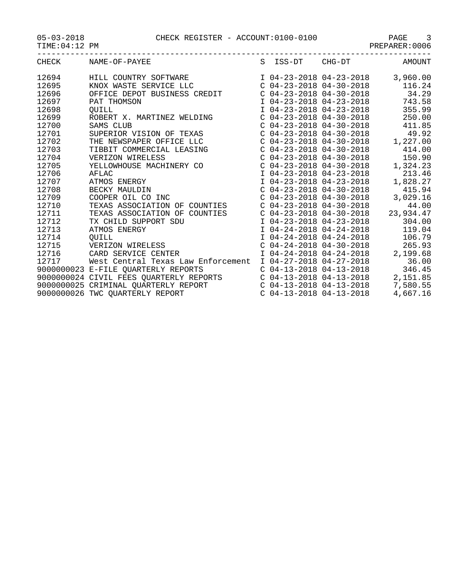| $05 - 03 - 2018$ |  |
|------------------|--|
|------------------|--|

| AGE<br>۰. |   |   |   |  |
|-----------|---|---|---|--|
|           | - | - | - |  |

| CHECK | NAME-OF-PAYEE                           |                           | S ISS-DT CHG-DT           | AMOUNT    |
|-------|-----------------------------------------|---------------------------|---------------------------|-----------|
| 12694 | HILL COUNTRY SOFTWARE                   |                           | I 04-23-2018 04-23-2018   | 3,960.00  |
| 12695 | KNOX WASTE SERVICE LLC                  |                           | $C$ 04-23-2018 04-30-2018 | 116.24    |
| 12696 | OFFICE DEPOT BUSINESS CREDIT            | $C$ 04-23-2018 04-30-2018 |                           | 34.29     |
| 12697 | PAT THOMSON                             | I 04-23-2018 04-23-2018   |                           | 743.58    |
| 12698 | OUILL                                   | I 04-23-2018 04-23-2018   |                           | 355.99    |
| 12699 | ROBERT X. MARTINEZ WELDING              | $C$ 04-23-2018 04-30-2018 |                           | 250.00    |
| 12700 | SAMS CLUB                               | $C$ 04-23-2018 04-30-2018 |                           | 411.85    |
| 12701 | SUPERIOR VISION OF TEXAS                | $C$ 04-23-2018 04-30-2018 |                           | 49.92     |
| 12702 | THE NEWSPAPER OFFICE LLC                | $C$ 04-23-2018 04-30-2018 |                           | 1,227.00  |
| 12703 | TIBBIT COMMERCIAL LEASING               | $C$ 04-23-2018 04-30-2018 |                           | 414.00    |
| 12704 | VERIZON WIRELESS                        | $C$ 04-23-2018 04-30-2018 |                           | 150.90    |
| 12705 | YELLOWHOUSE MACHINERY CO                | $C$ 04-23-2018 04-30-2018 |                           | 1,324.23  |
| 12706 | AFLAC                                   | I 04-23-2018 04-23-2018   |                           | 213.46    |
| 12707 | ATMOS ENERGY                            | I 04-23-2018 04-23-2018   |                           | 1,828.27  |
| 12708 | BECKY MAULDIN                           | $C$ 04-23-2018 04-30-2018 |                           | 415.94    |
| 12709 | COOPER OIL CO INC                       | $C$ 04-23-2018 04-30-2018 |                           | 3,029.16  |
| 12710 | TEXAS ASSOCIATION OF COUNTIES           | $C$ 04-23-2018 04-30-2018 |                           | 44.00     |
| 12711 | TEXAS ASSOCIATION OF<br>COUNTIES        | $C$ 04-23-2018 04-30-2018 |                           | 23,934.47 |
| 12712 | TX CHILD SUPPORT SDU                    | I 04-23-2018 04-23-2018   |                           | 304.00    |
| 12713 | ATMOS ENERGY                            | I 04-24-2018 04-24-2018   |                           | 119.04    |
| 12714 | <b>QUILL</b>                            | I 04-24-2018 04-24-2018   |                           | 106.79    |
| 12715 | VERIZON WIRELESS                        | $C$ 04-24-2018 04-30-2018 |                           | 265.93    |
| 12716 | CARD SERVICE CENTER                     | I 04-24-2018 04-24-2018   |                           | 2,199.68  |
| 12717 | West Central Texas Law Enforcement      | I 04-27-2018 04-27-2018   |                           | 36.00     |
|       | 9000000023 E-FILE QUARTERLY REPORTS     | $C$ 04-13-2018 04-13-2018 |                           | 346.45    |
|       | 9000000024 CIVIL FEES QUARTERLY REPORTS | $C$ 04-13-2018 04-13-2018 |                           | 2,151.85  |
|       | 9000000025 CRIMINAL QUARTERLY REPORT    | $C$ 04-13-2018 04-13-2018 |                           | 7,580.55  |
|       | 9000000026 TWC QUARTERLY REPORT         | $C$ 04-13-2018 04-13-2018 |                           | 4,667.16  |